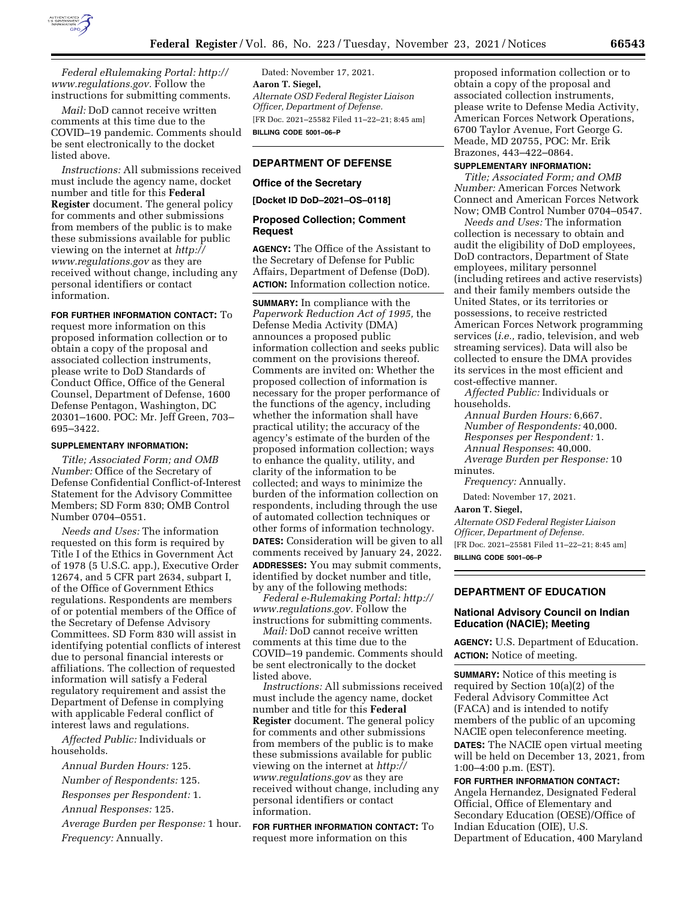

*Federal eRulemaking Portal: [http://](http://www.regulations.gov) [www.regulations.gov.](http://www.regulations.gov)* Follow the instructions for submitting comments.

*Mail:* DoD cannot receive written comments at this time due to the COVID–19 pandemic. Comments should be sent electronically to the docket listed above.

*Instructions:* All submissions received must include the agency name, docket number and title for this **Federal Register** document. The general policy for comments and other submissions from members of the public is to make these submissions available for public viewing on the internet at *[http://](http://www.regulations.gov) [www.regulations.gov](http://www.regulations.gov)* as they are received without change, including any personal identifiers or contact information.

**FOR FURTHER INFORMATION CONTACT:** To

request more information on this proposed information collection or to obtain a copy of the proposal and associated collection instruments, please write to DoD Standards of Conduct Office, Office of the General Counsel, Department of Defense, 1600 Defense Pentagon, Washington, DC 20301–1600. POC: Mr. Jeff Green, 703– 695–3422.

## **SUPPLEMENTARY INFORMATION:**

*Title; Associated Form; and OMB Number:* Office of the Secretary of Defense Confidential Conflict-of-Interest Statement for the Advisory Committee Members; SD Form 830; OMB Control Number 0704–0551.

*Needs and Uses:* The information requested on this form is required by Title I of the Ethics in Government Act of 1978 (5 U.S.C. app.), Executive Order 12674, and 5 CFR part 2634, subpart I, of the Office of Government Ethics regulations. Respondents are members of or potential members of the Office of the Secretary of Defense Advisory Committees. SD Form 830 will assist in identifying potential conflicts of interest due to personal financial interests or affiliations. The collection of requested information will satisfy a Federal regulatory requirement and assist the Department of Defense in complying with applicable Federal conflict of interest laws and regulations.

*Affected Public:* Individuals or households.

*Annual Burden Hours:* 125.

*Number of Respondents:* 125. *Responses per Respondent:* 1. *Annual Responses:* 125. *Average Burden per Response:* 1 hour.

*Frequency:* Annually.

Dated: November 17, 2021. **Aaron T. Siegel,**  *Alternate OSD Federal Register Liaison Officer, Department of Defense.*  [FR Doc. 2021–25582 Filed 11–22–21; 8:45 am] **BILLING CODE 5001–06–P** 

# **DEPARTMENT OF DEFENSE**

#### **Office of the Secretary**

**[Docket ID DoD–2021–OS–0118]** 

# **Proposed Collection; Comment Request**

**AGENCY:** The Office of the Assistant to the Secretary of Defense for Public Affairs, Department of Defense (DoD). **ACTION:** Information collection notice.

**SUMMARY:** In compliance with the *Paperwork Reduction Act of 1995,* the Defense Media Activity (DMA) announces a proposed public information collection and seeks public comment on the provisions thereof. Comments are invited on: Whether the proposed collection of information is necessary for the proper performance of the functions of the agency, including whether the information shall have practical utility; the accuracy of the agency's estimate of the burden of the proposed information collection; ways to enhance the quality, utility, and clarity of the information to be collected; and ways to minimize the burden of the information collection on respondents, including through the use of automated collection techniques or other forms of information technology. **DATES:** Consideration will be given to all comments received by January 24, 2022. **ADDRESSES:** You may submit comments, identified by docket number and title, by any of the following methods:

*Federal e-Rulemaking Portal: [http://](http://www.regulations.gov) [www.regulations.gov.](http://www.regulations.gov)* Follow the instructions for submitting comments.

*Mail:* DoD cannot receive written comments at this time due to the COVID–19 pandemic. Comments should be sent electronically to the docket listed above.

*Instructions:* All submissions received must include the agency name, docket number and title for this **Federal Register** document. The general policy for comments and other submissions from members of the public is to make these submissions available for public viewing on the internet at *[http://](http://www.regulations.gov) [www.regulations.gov](http://www.regulations.gov)* as they are received without change, including any personal identifiers or contact information.

**FOR FURTHER INFORMATION CONTACT:** To request more information on this

proposed information collection or to obtain a copy of the proposal and associated collection instruments, please write to Defense Media Activity, American Forces Network Operations, 6700 Taylor Avenue, Fort George G. Meade, MD 20755, POC: Mr. Erik Brazones, 443–422–0864.

#### **SUPPLEMENTARY INFORMATION:**

*Title; Associated Form; and OMB Number:* American Forces Network Connect and American Forces Network Now; OMB Control Number 0704–0547.

*Needs and Uses:* The information collection is necessary to obtain and audit the eligibility of DoD employees, DoD contractors, Department of State employees, military personnel (including retirees and active reservists) and their family members outside the United States, or its territories or possessions, to receive restricted American Forces Network programming services (*i.e.,* radio, television, and web streaming services). Data will also be collected to ensure the DMA provides its services in the most efficient and cost-effective manner.

*Affected Public:* Individuals or households.

*Annual Burden Hours:* 6,667. *Number of Respondents:* 40,000.

*Responses per Respondent:* 1.

*Annual Responses*: 40,000.

*Average Burden per Response:* 10 minutes.

*Frequency:* Annually.

Dated: November 17, 2021.

**Aaron T. Siegel,** 

*Alternate OSD Federal Register Liaison Officer, Department of Defense.*  [FR Doc. 2021–25581 Filed 11–22–21; 8:45 am] **BILLING CODE 5001–06–P** 

## **DEPARTMENT OF EDUCATION**

# **National Advisory Council on Indian Education (NACIE); Meeting**

**AGENCY:** U.S. Department of Education. **ACTION:** Notice of meeting.

**SUMMARY:** Notice of this meeting is required by Section 10(a)(2) of the Federal Advisory Committee Act (FACA) and is intended to notify members of the public of an upcoming NACIE open teleconference meeting. **DATES:** The NACIE open virtual meeting will be held on December 13, 2021, from 1:00–4:00 p.m. (EST).

**FOR FURTHER INFORMATION CONTACT:**  Angela Hernandez, Designated Federal Official, Office of Elementary and Secondary Education (OESE)/Office of Indian Education (OIE), U.S. Department of Education, 400 Maryland